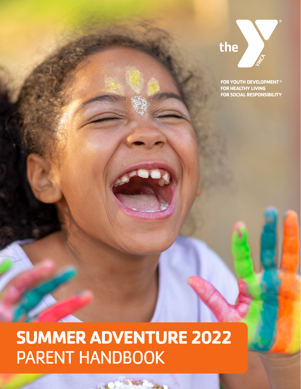

FOR YOUTH DEVELOPMENT<sup>®</sup> **FOR HEALTHY LIVING FOR SOCIAL RESPONSIBILITY** 

# **SUMMER ADVENTURE 2022** PARENT HANDBOOK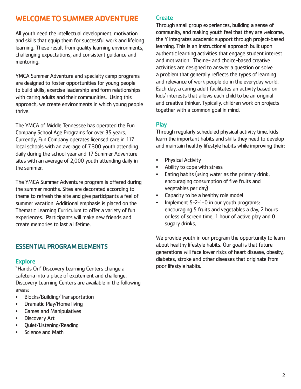# WELCOME TO SUMMER ADVENTURE

All youth need the intellectual development, motivation and skills that equip them for successful work and lifelong learning. These result from quality learning environments, challenging expectations, and consistent guidance and mentoring.

YMCA Summer Adventure and specialty camp programs are designed to foster opportunities for young people to build skills, exercise leadership and form relationships with caring adults and their communities. Using this approach, we create environments in which young people thrive.

The YMCA of Middle Tennessee has operated the Fun Company School Age Programs for over 35 years. Currently, Fun Company operates licensed care in 117 local schools with an average of 7,300 youth attending daily during the school year and 17 Summer Adventure sites with an average of 2,000 youth attending daily in the summer.

The YMCA Summer Adventure program is offered during the summer months. Sites are decorated according to theme to refresh the site and give participants a feel of summer vacation. Additional emphasis is placed on the Thematic Learning Curriculum to offer a variety of fun experiences. Participants will make new friends and create memories to last a lifetime.

# ESSENTIAL PROGRAM ELEMENTS

# **Explore**

"Hands On" Discovery Learning Centers change a cafeteria into a place of excitement and challenge. Discovery Learning Centers are available in the following areas:

- Blocks/Building/Transportation
- Dramatic Play/Home living
- Games and Manipulatives
- Discovery Art
- Quiet/Listening/Reading
- Science and Math

#### **Create**

Through small group experiences, building a sense of community, and making youth feel that they are welcome, the Y integrates academic support through project-based learning. This is an instructional approach built upon authentic learning activities that engage student interest and motivation. Theme- and choice-based creative activities are designed to answer a question or solve a problem that generally reflects the types of learning and relevance of work people do in the everyday world. Each day, a caring adult facilitates an activity based on kids' interests that allows each child to be an original and creative thinker. Typically, children work on projects together with a common goal in mind.

# Play

Through regularly scheduled physical activity time, kids learn the important habits and skills they need to develop and maintain healthy lifestyle habits while improving their:

- Physical Activity
- Ability to cope with stress
- Eating habits (using water as the primary drink, encouraging consumption of five fruits and vegetables per day)
- Capacity to be a healthy role model
- Implement 5-2-1-0 in our youth programs: encouraging 5 fruits and vegetables a day, 2 hours or less of screen time, 1 hour of active play and 0 sugary drinks.

We provide youth in our program the opportunity to learn about healthy lifestyle habits. Our goal is that future generations will face lower risks of heart disease, obesity, diabetes, stroke and other diseases that originate from poor lifestyle habits.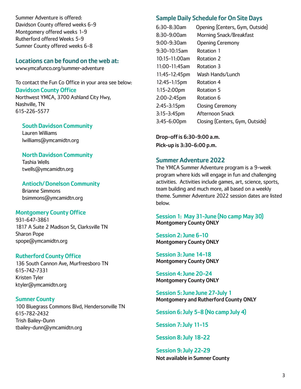Summer Adventure is offered: Davidson County offered weeks 6-9 Montgomery offered weeks 1-9 Rutherford offered Weeks 5-9 Sumner County offered weeks 6-8

# Locations can be found on the web at:

www.ymcafunco.org/summer-adventure

To contact the Fun Co Office in your area see below: Davidson County Office

Northwest YMCA, 3700 Ashland City Hwy, Nashville, TN 615-226-5577

# South Davidson Community

Lauren Williams lwilliams@ymcamidtn.org

#### North Davidson Community

Tashia Wells twells@ymcamidtn.org

#### Antioch/ Donelson Community

Brianne Simmons bsimmons@ymcamidtn.org

# Montgomery County Office

931-647-3861 1817 A Suite 2 Madison St, Clarksville TN Sharon Pope spope@ymcamidtn.org

# Rutherford County Office

136 South Cannon Ave, Murfreesboro TN 615-742-7331 Kristen Tyler ktyler@ymcamidtn.org

# Sumner County

100 Bluegrass Commons Blvd, Hendersonville TN 615-782-2432 Trish Bailey-Dunn tbailey-dunn@ymcamidtn.org

# Sample Daily Schedule for On Site Days

| 6:30-8:30am        | Opening (Centers, Gym, Outside) |
|--------------------|---------------------------------|
| 8:30-9:00am        | <b>Morning Snack/Breakfast</b>  |
| 9:00-9:30am        | <b>Opening Ceremony</b>         |
| 9:30-10:15am       | Rotation 1                      |
| $10:15 - 11:00$ am | Rotation 2                      |
| 11:00-11:45am      | Rotation 3                      |
| 11:45-12:45pm      | Wash Hands/Lunch                |
| 12:45-1:15pm       | Rotation 4                      |
| 1:15-2:00pm        | Rotation 5                      |
| 2:00-2:45pm        | Rotation 6                      |
| 2:45-3:15pm        | <b>Closing Ceremony</b>         |
| $3:15-3:45$ pm     | Afternoon Snack                 |
| $3:45-6:00$ pm     | Closing (Centers, Gym, Outside) |

Drop-off is 6:30-9:00 a.m. Pick-up is 3:30-6:00 p.m.

# Summer Adventure 2022

The YMCA Summer Adventure program is a 9-week program where kids will engage in fun and challenging activities. Activities include games, art, science, sports, team building and much more, all based on a weekly theme. Summer Adventure 2022 session dates are listed below.

# Session 1: May 31-June (No camp May 30) Montgomery County ONLY

Session 2: June 6-10 Montgomery County ONLY

Session 3: June 14-18 Montgomery County ONLY

Session 4: June 20-24 Montgomery County ONLY

Session 5: June June 27-July 1 Montgomery and Rutherford County ONLY

Session 6: July 5-8 (No camp July 4)

Session 7: July 11-15

Session 8: July 18-22

Session 9: July 22-29 Not available in Sumner County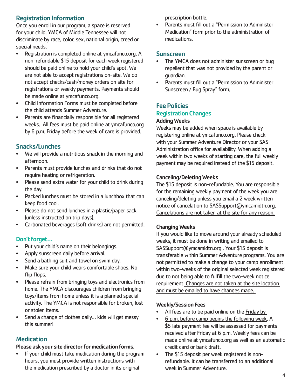# Registration Information

Once you enroll in our program, a space is reserved for your child. YMCA of Middle Tennessee will not discriminate by race, color, sex, national origin, creed or special needs.

- Registration is completed online at ymcafunco.org. A non-refundable \$15 deposit for each week registered should be paid online to hold your child's spot. We are not able to accept registrations on-site. We do not accept checks/cash/money orders on site for registrations or weekly payments. Payments should be made online at ymcafunco.org.
- Child Information Forms must be completed before the child attends Summer Adventure.
- Parents are financially responsible for all registered weeks. All fees must be paid online at ymcafunco.org by 6 p.m. Friday before the week of care is provided.

# Snacks/Lunches

- We will provide a nutritious snack in the morning and afternoon.
- Parents must provide lunches and drinks that do not require heating or refrigeration.
- Please send extra water for your child to drink during the day.
- Packed lunches must be stored in a lunchbox that can keep food cool.
- Please do not send lunches in a plastic/paper sack (unless instructed on trip days).
- Carbonated beverages (soft drinks) are not permitted.

# Don't forget…

- Put your child's name on their belongings.
- Apply sunscreen daily before arrival.
- Send a bathing suit and towel on swim day.
- Make sure your child wears comfortable shoes. No flip flops.
- Please refrain from bringing toys and electronics from home. The YMCA discourages children from bringing toys/items from home unless it is a planned special activity. The YMCA is not responsible for broken, lost or stolen items.
- Send a change of clothes daily... kids will get messy this summer!

# **Medication**

# Please ask your site director for medication forms.

If your child must take medication during the program hours, you must provide written instructions with the medication prescribed by a doctor in its original

prescription bottle.

• Parents must fill out a "Permission to Administer Medication" form prior to the administration of medications.

# **Sunscreen**

- The YMCA does not administer sunscreen or bug repellent that was not provided by the parent or guardian.
- Parents must fill out a "Permission to Administer Sunscreen / Bug Spray" form.

# Fee Policies Registration Changes

# Adding Weeks

Weeks may be added when space is available by registering online at ymcafunco.org. Please check with your Summer Adventure Director or your SAS Administration office for availability. When adding a week within two weeks of starting care, the full weekly payment may be required instead of the \$15 deposit.

# Canceling/Deleting Weeks

The \$15 deposit is non-refundable. You are responsible for the remaining weekly payment of the week you are canceling/deleting unless you email a 2 week written notice of cancelation to SASSupport@ymcamidtn.org. Cancelations are not taken at the site for any reason.

# Changing Weeks

If you would like to move around your already scheduled weeks, it must be done in writing and emailed to SASSupport@ymcamidtn.org . Your \$15 deposit is transferable within Summer Adventure programs. You are not permitted to make a change to your camp enrollment within two-weeks of the original selected week registered due to not being able to fulfill the two-week notice requirement. Changes are not taken at the site location and must be emailed to have changes made.

# Weekly/Session Fees

- All fees are to be paid online on the Friday by
- 6 p.m. before camp begins the following week. A \$5 late payment fee will be assessed for payments received after Friday at 6 p.m. Weekly fees can be made online at ymcafunco.org as well as an automatic credit card or bank draft.
- The \$15 deposit per week registered is nonrefundable. It can be transferred to an additional week in Summer Adventure.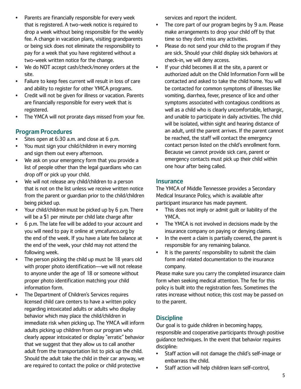- Parents are financially responsible for every week that is registered. A two-week notice is required to drop a week without being responsible for the weekly fee. A change in vacation plans, visiting grandparents or being sick does not eliminate the responsibility to pay for a week that you have registered without a two-week written notice for the change.
- We do NOT accept cash/check/money orders at the site.
- Failure to keep fees current will result in loss of care and ability to register for other YMCA programs.
- Credit will not be given for illness or vacation. Parents are financially responsible for every week that is registered.
- The YMCA will not prorate days missed from your fee.

# Program Procedures

- Sites open at 6:30 a.m. and close at 6 p.m.
- You must sign your child/children in every morning and sign them out every afternoon.
- We ask on your emergency form that you provide a list of people other than the legal guardians who can drop off or pick up your child.
- We will not release any child/children to a person that is not on the list unless we receive written notice from the parent or guardian prior to the child/children being picked up.
- Your child/children must be picked up by 6 p.m. There will be a \$1 per minute per child late charge after
- 6 p.m. The late fee will be added to your account and you will need to pay it online at ymcafunco.org by the end of the week. If you have a late fee balance at the end of the week, your child may not attend the following week.
- The person picking the child up must be 18 years old with proper photo identification—we will not release to anyone under the age of 18 or someone without proper photo identification matching your child information form.
- The Department of Children's Services requires licensed child care centers to have a written policy regarding intoxicated adults or adults who display behavior which may place the child/children in immediate risk when picking up. The YMCA will inform adults picking up children from our program who clearly appear intoxicated or display "erratic" behavior that we suggest that they allow us to call another adult from the transportation list to pick up the child. Should the adult take the child in their car anyway, we are required to contact the police or child protective

services and report the incident.

- The core part of our program begins by 9 a.m. Please make arrangements to drop your child off by that time so they don't miss any activities.
- Please do not send your child to the program if they are sick. Should your child display sick behaviors at check-in, we will deny access.
- If your child becomes ill at the site, a parent or authorized adult on the Child Information Form will be contacted and asked to take the child home. You will be contacted for common symptoms of illnesses like vomiting, diarrhea, fever, presence of lice and other symptoms associated with contagious conditions as well as a child who is clearly uncomfortable, lethargic, and unable to participate in daily activities. The child will be isolated, within sight and hearing distance of an adult, until the parent arrives. If the parent cannot be reached, the staff will contact the emergency contact person listed on the child's enrollment form. Because we cannot provide sick care, parent or emergency contacts must pick up their child within one hour after being called.

# **Insurance**

The YMCA of Middle Tennessee provides a Secondary Medical Insurance Policy, which is available after participant insurance has made payment.

- This does not imply or admit guilt or liability of the YMCA.
- The YMCA is not involved in decisions made by the insurance company on paying or denying claims.
- In the event a claim is partially covered, the parent is responsible for any remaining balance.
- It is the parents' responsibility to submit the claim form and related documentation to the insurance company.

Please make sure you carry the completed insurance claim form when seeking medical attention. The fee for this policy is built into the registration fees. Sometimes the rates increase without notice; this cost may be passed on to the parent.

# **Discipline**

Our goal is to guide children in becoming happy, responsible and cooperative participants through positive guidance techniques. In the event that behavior requires discipline:

- Staff action will not damage the child's self-image or embarrass the child.
- Staff action will help children learn self-control,